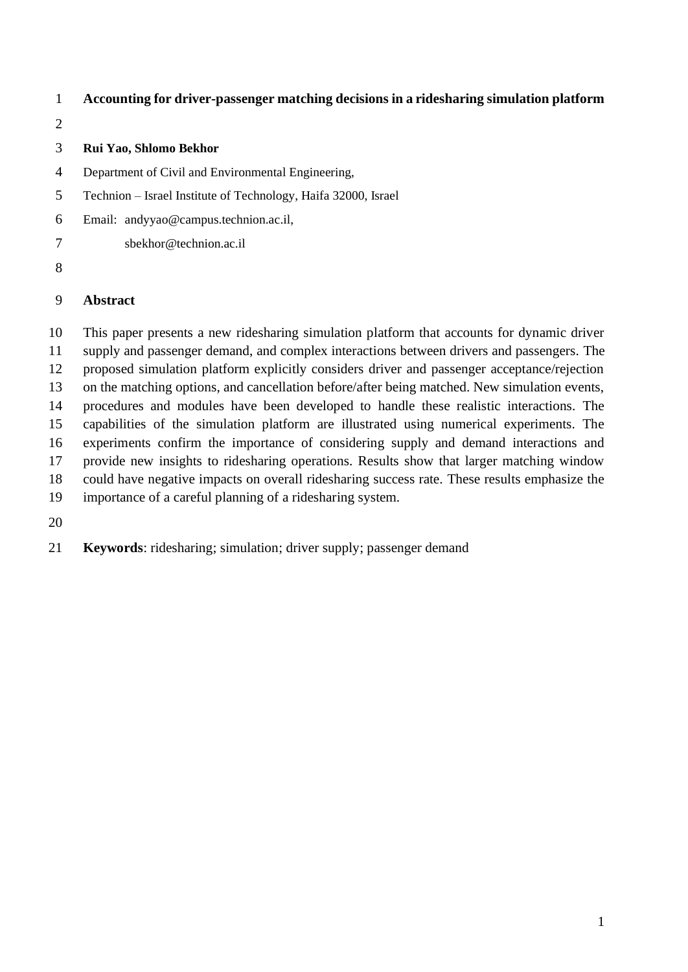- **Accounting for driver-passenger matching decisions in a ridesharing simulation platform**
- 

#### **Rui Yao, Shlomo Bekhor**

- Department of Civil and Environmental Engineering,
- Technion Israel Institute of Technology, Haifa 32000, Israel
- Email: andyyao@campus.technion.ac.il,
- sbekhor@technion.ac.il
- 

## **Abstract**

 This paper presents a new ridesharing simulation platform that accounts for dynamic driver supply and passenger demand, and complex interactions between drivers and passengers. The proposed simulation platform explicitly considers driver and passenger acceptance/rejection on the matching options, and cancellation before/after being matched. New simulation events, procedures and modules have been developed to handle these realistic interactions. The capabilities of the simulation platform are illustrated using numerical experiments. The experiments confirm the importance of considering supply and demand interactions and provide new insights to ridesharing operations. Results show that larger matching window could have negative impacts on overall ridesharing success rate. These results emphasize the importance of a careful planning of a ridesharing system.

**Keywords**: ridesharing; simulation; driver supply; passenger demand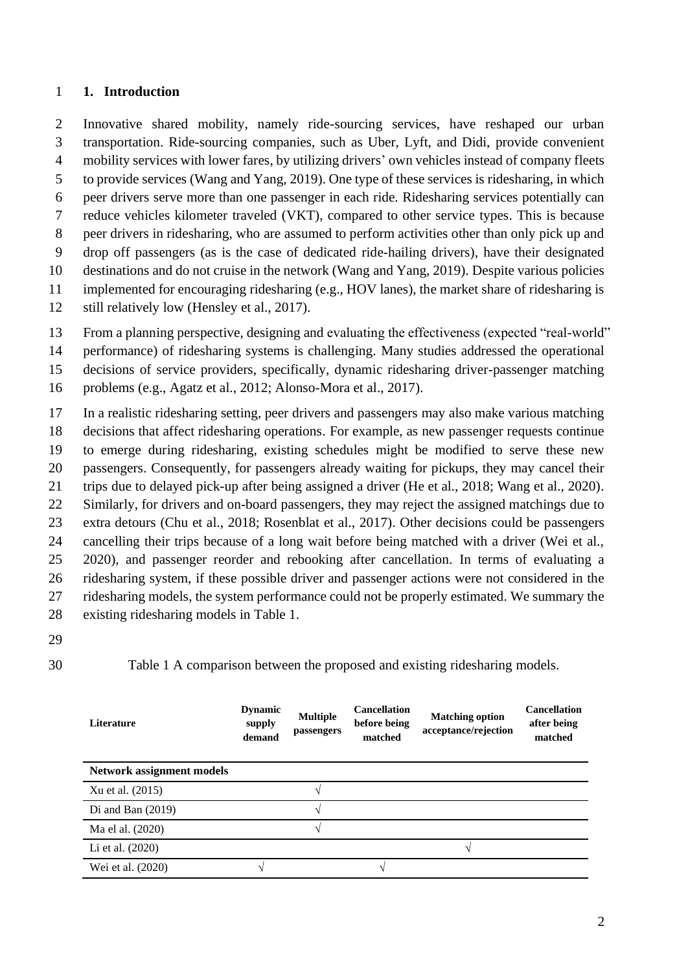## **1. Introduction**

 Innovative shared mobility, namely ride-sourcing services, have reshaped our urban transportation. Ride-sourcing companies, such as Uber, Lyft, and Didi, provide convenient mobility services with lower fares, by utilizing drivers' own vehicles instead of company fleets to provide services (Wang and Yang, 2019). One type of these services is ridesharing, in which peer drivers serve more than one passenger in each ride. Ridesharing services potentially can reduce vehicles kilometer traveled (VKT), compared to other service types. This is because peer drivers in ridesharing, who are assumed to perform activities other than only pick up and drop off passengers (as is the case of dedicated ride-hailing drivers), have their designated destinations and do not cruise in the network (Wang and Yang, 2019). Despite various policies implemented for encouraging ridesharing (e.g., HOV lanes), the market share of ridesharing is still relatively low (Hensley et al., 2017).

From a planning perspective, designing and evaluating the effectiveness (expected "real-world"

performance) of ridesharing systems is challenging. Many studies addressed the operational

decisions of service providers, specifically, dynamic ridesharing driver-passenger matching

problems (e.g., Agatz et al., 2012; Alonso-Mora et al., 2017).

 In a realistic ridesharing setting, peer drivers and passengers may also make various matching decisions that affect ridesharing operations. For example, as new passenger requests continue to emerge during ridesharing, existing schedules might be modified to serve these new passengers. Consequently, for passengers already waiting for pickups, they may cancel their trips due to delayed pick-up after being assigned a driver (He et al., 2018; Wang et al., 2020). Similarly, for drivers and on-board passengers, they may reject the assigned matchings due to extra detours (Chu et al., 2018; Rosenblat et al., 2017). Other decisions could be passengers cancelling their trips because of a long wait before being matched with a driver (Wei et al., 2020), and passenger reorder and rebooking after cancellation. In terms of evaluating a ridesharing system, if these possible driver and passenger actions were not considered in the ridesharing models, the system performance could not be properly estimated. We summary the existing ridesharing models in [Table 1.](#page-1-0)

- 
- 

<span id="page-1-0"></span>Table 1 A comparison between the proposed and existing ridesharing models.

| Literature                       | <b>Dynamic</b><br>supply<br>demand | <b>Multiple</b><br>passengers | <b>Cancellation</b><br>before being<br>matched | <b>Matching option</b><br>acceptance/rejection | <b>Cancellation</b><br>after being<br>matched |
|----------------------------------|------------------------------------|-------------------------------|------------------------------------------------|------------------------------------------------|-----------------------------------------------|
| <b>Network assignment models</b> |                                    |                               |                                                |                                                |                                               |
| Xu et al. (2015)                 |                                    |                               |                                                |                                                |                                               |
| Di and Ban $(2019)$              |                                    |                               |                                                |                                                |                                               |
| Ma el al. (2020)                 |                                    |                               |                                                |                                                |                                               |
| Li et al. (2020)                 |                                    |                               |                                                |                                                |                                               |
| Wei et al. (2020)                |                                    |                               |                                                |                                                |                                               |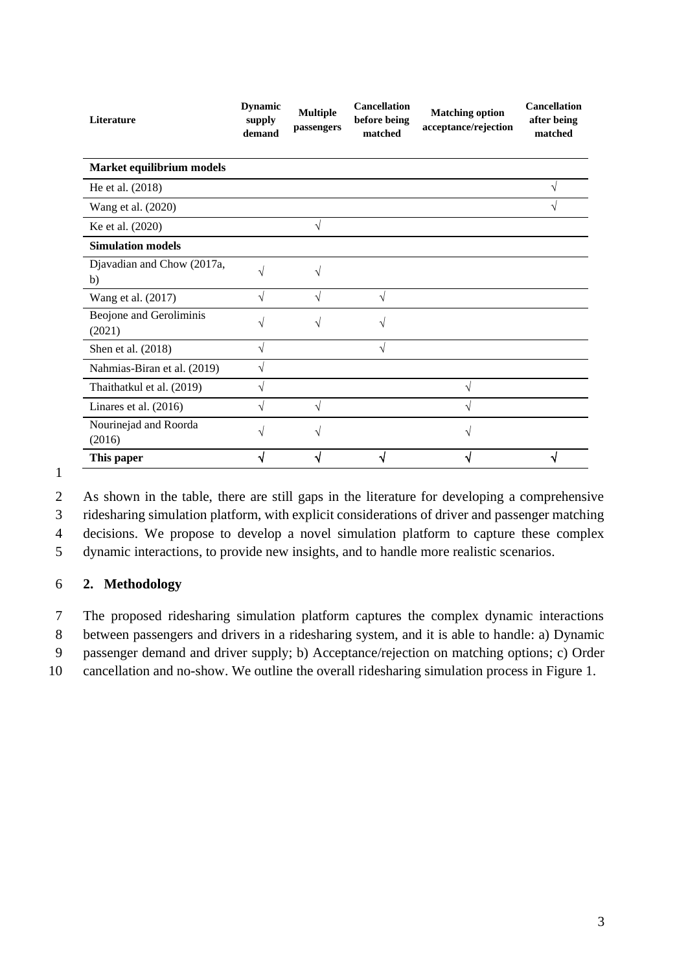| Literature                        | <b>Dynamic</b><br>supply<br>demand | <b>Multiple</b><br>passengers | <b>Cancellation</b><br>before being<br>matched | <b>Matching option</b><br>acceptance/rejection | <b>Cancellation</b><br>after being<br>matched |
|-----------------------------------|------------------------------------|-------------------------------|------------------------------------------------|------------------------------------------------|-----------------------------------------------|
| Market equilibrium models         |                                    |                               |                                                |                                                |                                               |
| He et al. (2018)                  |                                    |                               |                                                |                                                | V                                             |
| Wang et al. (2020)                |                                    |                               |                                                |                                                |                                               |
| Ke et al. (2020)                  |                                    | V                             |                                                |                                                |                                               |
| <b>Simulation models</b>          |                                    |                               |                                                |                                                |                                               |
| Djavadian and Chow (2017a,<br>b)  | $\sqrt{}$                          |                               |                                                |                                                |                                               |
| Wang et al. (2017)                | $\sqrt{ }$                         | V                             | $\sqrt{}$                                      |                                                |                                               |
| Beojone and Geroliminis<br>(2021) | V                                  |                               |                                                |                                                |                                               |
| Shen et al. (2018)                | V                                  |                               | V                                              |                                                |                                               |
| Nahmias-Biran et al. (2019)       | V                                  |                               |                                                |                                                |                                               |
| Thaithatkul et al. (2019)         | V                                  |                               |                                                | V                                              |                                               |
| Linares et al. (2016)             | $\sqrt{}$                          | V                             |                                                |                                                |                                               |
| Nourinejad and Roorda<br>(2016)   | V                                  |                               |                                                | V                                              |                                               |
| This paper                        | N                                  |                               | ٦I                                             |                                                | ٦J                                            |

1

 As shown in the table, there are still gaps in the literature for developing a comprehensive ridesharing simulation platform, with explicit considerations of driver and passenger matching decisions. We propose to develop a novel simulation platform to capture these complex dynamic interactions, to provide new insights, and to handle more realistic scenarios.

## 6 **2. Methodology**

7 The proposed ridesharing simulation platform captures the complex dynamic interactions 8 between passengers and drivers in a ridesharing system, and it is able to handle: a) Dynamic

9 passenger demand and driver supply; b) Acceptance/rejection on matching options; c) Order

10 cancellation and no-show. We outline the overall ridesharing simulation process in [Figure 1.](#page-3-0)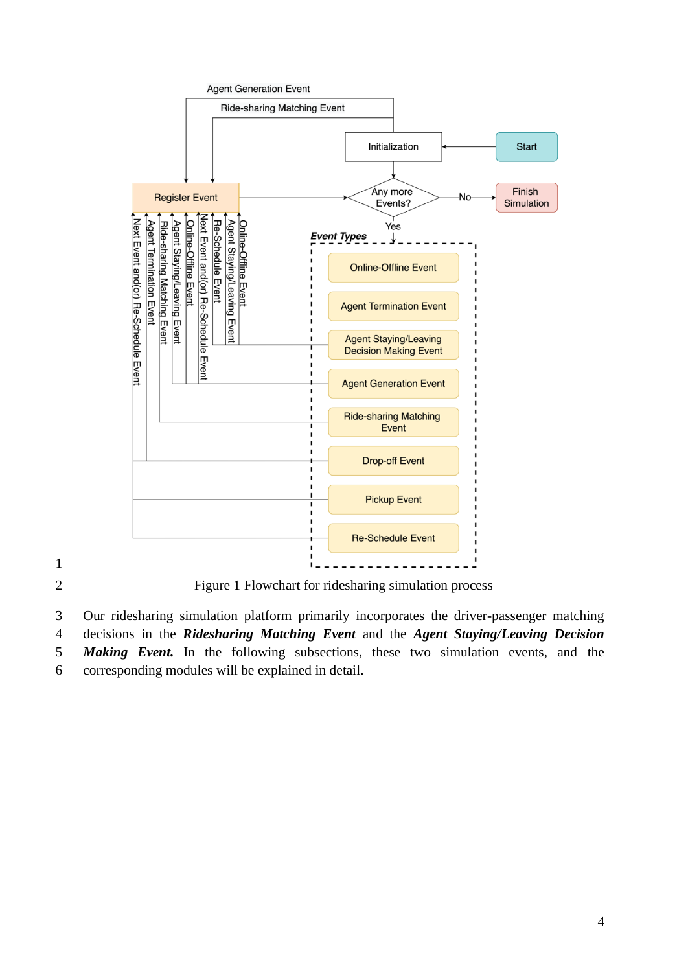

<span id="page-3-0"></span>

Figure 1 Flowchart for ridesharing simulation process

 Our ridesharing simulation platform primarily incorporates the driver-passenger matching decisions in the *Ridesharing Matching Event* and the *Agent Staying/Leaving Decision Making Event.* In the following subsections, these two simulation events, and the corresponding modules will be explained in detail.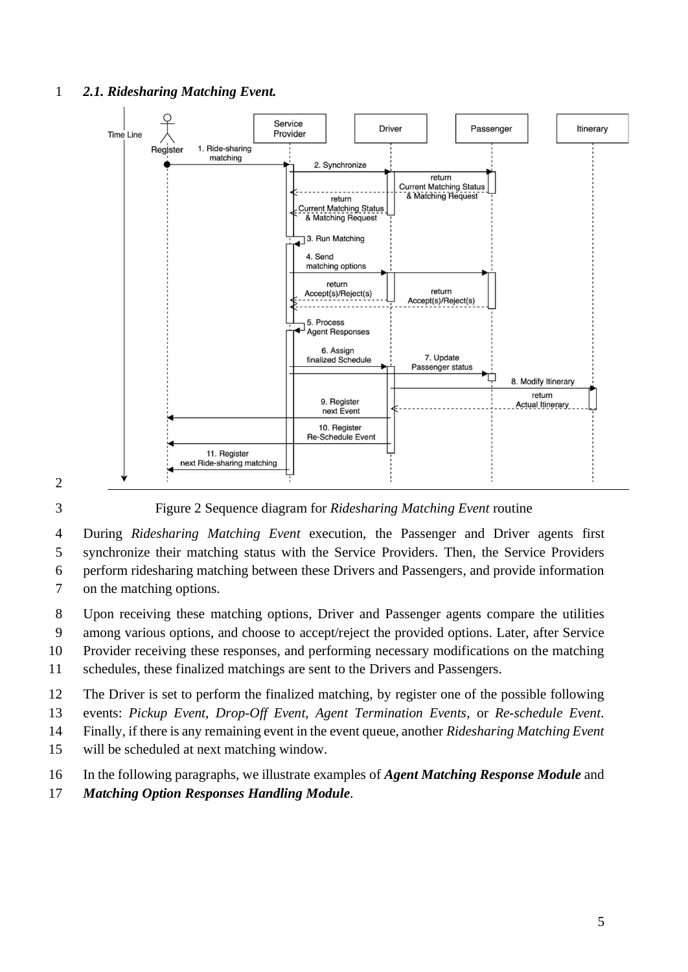## *2.1. Ridesharing Matching Event.*



# 

Figure 2 Sequence diagram for *Ridesharing Matching Event* routine

 During *Ridesharing Matching Event* execution, the Passenger and Driver agents first synchronize their matching status with the Service Providers. Then, the Service Providers perform ridesharing matching between these Drivers and Passengers, and provide information

on the matching options.

Upon receiving these matching options, Driver and Passenger agents compare the utilities

among various options, and choose to accept/reject the provided options. Later, after Service

Provider receiving these responses, and performing necessary modifications on the matching

schedules, these finalized matchings are sent to the Drivers and Passengers.

The Driver is set to perform the finalized matching, by register one of the possible following

events: *Pickup Event*, *Drop-Off Event*, *Agent Termination Events*, or *Re-schedule Event*.

Finally, if there is any remaining event in the event queue, another *Ridesharing Matching Event*

will be scheduled at next matching window.

In the following paragraphs, we illustrate examples of *Agent Matching Response Module* and

*Matching Option Responses Handling Module*.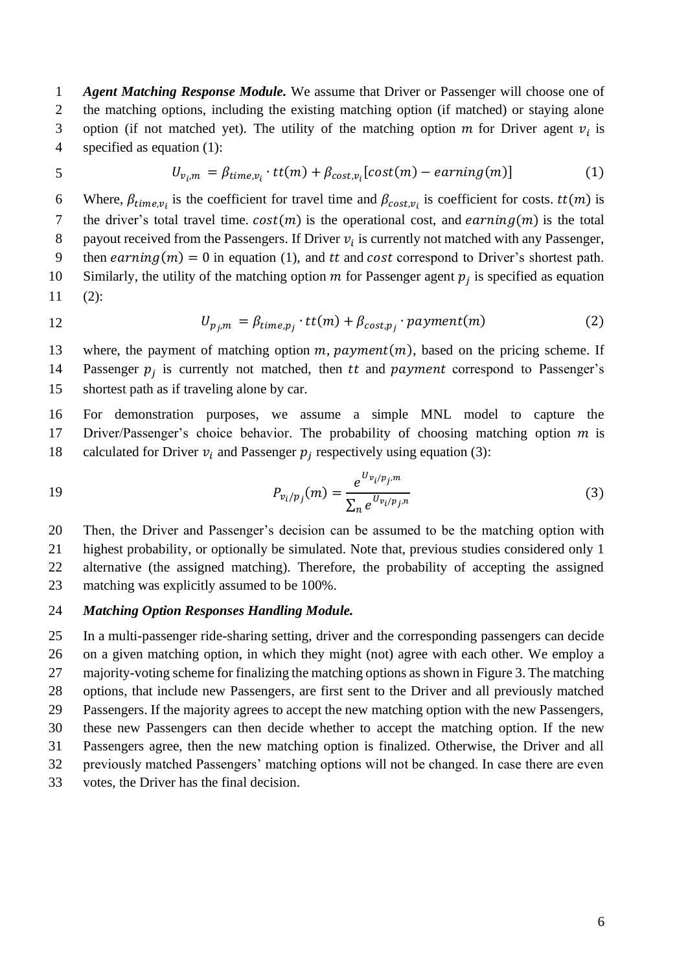*Agent Matching Response Module.* We assume that Driver or Passenger will choose one of the matching options, including the existing matching option (if matched) or staying alone 3 option (if not matched yet). The utility of the matching option  $m$  for Driver agent  $v_i$  is specified as equation (1):

$$
U_{v_i,m} = \beta_{time,v_i} \cdot tt(m) + \beta_{cost,v_i}[cost(m) - earning(m)] \qquad (1)
$$

6 Where,  $\beta_{time,v_i}$  is the coefficient for travel time and  $\beta_{cost,v_i}$  is coefficient for costs.  $tt(m)$  is 7 the driver's total travel time.  $cost(m)$  is the operational cost, and  $learning(m)$  is the total 8 payout received from the Passengers. If Driver  $v_i$  is currently not matched with any Passenger, 9 then  $\epsilon\arning(m) = 0$  in equation (1), and tt and cost correspond to Driver's shortest path. 10 Similarly, the utility of the matching option  $m$  for Passenger agent  $p_i$  is specified as equation  $11$  (2):

12 
$$
U_{p_j,m} = \beta_{time,p_j} \cdot tt(m) + \beta_{cost,p_j} \cdot payment(m)
$$
 (2)

13 where, the payment of matching option  $m$ ,  $payment(m)$ , based on the pricing scheme. If 14 Passenger  $p_i$  is currently not matched, then tt and *payment* correspond to Passenger's 15 shortest path as if traveling alone by car.

16 For demonstration purposes, we assume a simple MNL model to capture the 17 Driver/Passenger's choice behavior. The probability of choosing matching option *m* is 18 calculated for Driver  $v_i$  and Passenger  $p_i$  respectively using equation (3):

19 
$$
P_{v_i/p_j}(m) = \frac{e^{U_{v_i/p_j,m}}}{\sum_{n} e^{U_{v_i/p_j,n}}}
$$
 (3)

 Then, the Driver and Passenger's decision can be assumed to be the matching option with highest probability, or optionally be simulated. Note that, previous studies considered only 1 alternative (the assigned matching). Therefore, the probability of accepting the assigned matching was explicitly assumed to be 100%.

#### 24 *Matching Option Responses Handling Module.*

 In a multi-passenger ride-sharing setting, driver and the corresponding passengers can decide on a given matching option, in which they might (not) agree with each other. We employ a majority-voting scheme for finalizing the matching options as shown in [Figure 3.](#page-6-0) The matching options, that include new Passengers, are first sent to the Driver and all previously matched Passengers. If the majority agrees to accept the new matching option with the new Passengers, these new Passengers can then decide whether to accept the matching option. If the new Passengers agree, then the new matching option is finalized. Otherwise, the Driver and all previously matched Passengers' matching options will not be changed. In case there are even votes, the Driver has the final decision.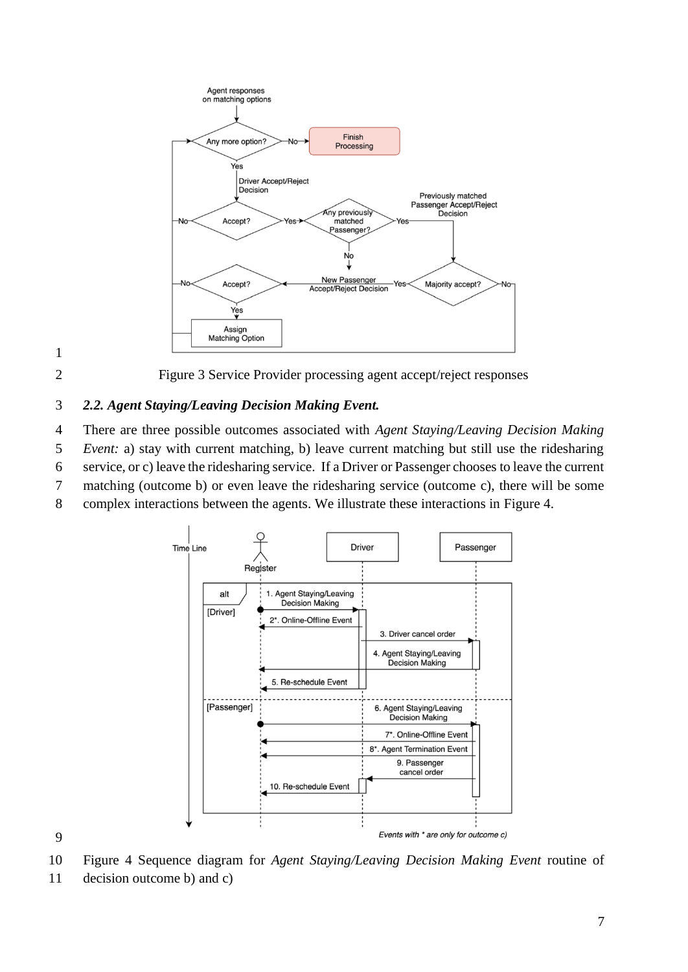



<span id="page-6-0"></span>Figure 3 Service Provider processing agent accept/reject responses

# *2.2. Agent Staying/Leaving Decision Making Event.*

 There are three possible outcomes associated with *Agent Staying/Leaving Decision Making Event:* a) stay with current matching, b) leave current matching but still use the ridesharing service, or c) leave the ridesharing service. If a Driver or Passenger chooses to leave the current matching (outcome b) or even leave the ridesharing service (outcome c), there will be some

complex interactions between the agents. We illustrate these interactions in [Figure 4.](#page-6-1)



<span id="page-6-1"></span>Figure 4 Sequence diagram for *Agent Staying/Leaving Decision Making Event* routine of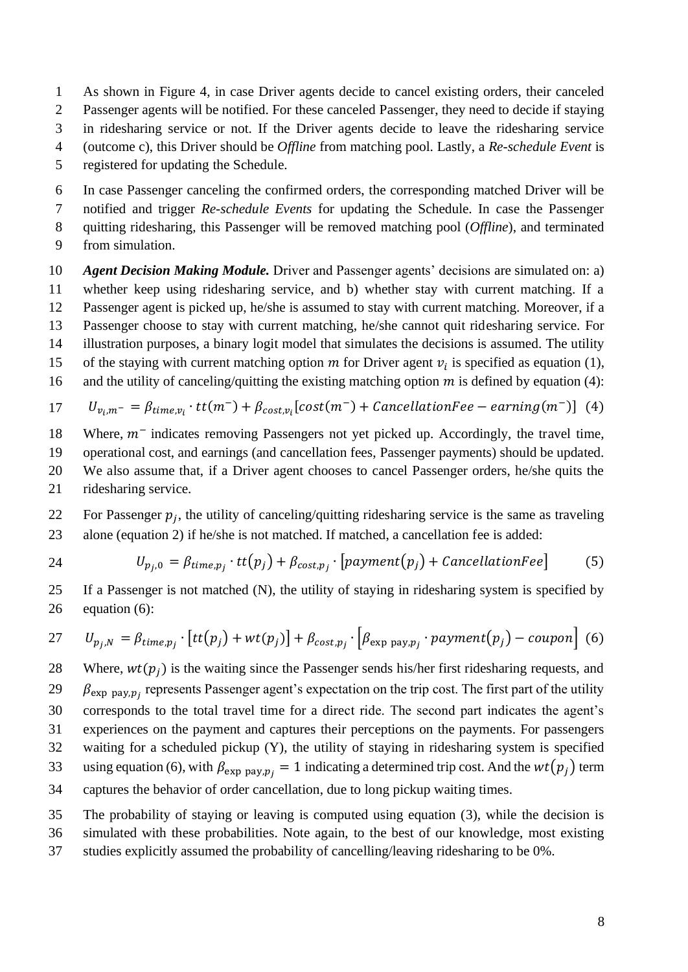- 1 As shown in [Figure 4,](#page-6-1) in case Driver agents decide to cancel existing orders, their canceled
- 2 Passenger agents will be notified. For these canceled Passenger, they need to decide if staying
- 3 in ridesharing service or not. If the Driver agents decide to leave the ridesharing service
- 4 (outcome c), this Driver should be *Offline* from matching pool. Lastly, a *Re-schedule Event* is
- 5 registered for updating the Schedule.
- 6 In case Passenger canceling the confirmed orders, the corresponding matched Driver will be 7 notified and trigger *Re-schedule Events* for updating the Schedule. In case the Passenger 8 quitting ridesharing, this Passenger will be removed matching pool (*Offline*), and terminated 9 from simulation.
- 10 *Agent Decision Making Module.* Driver and Passenger agents' decisions are simulated on: a) 11 whether keep using ridesharing service, and b) whether stay with current matching. If a 12 Passenger agent is picked up, he/she is assumed to stay with current matching. Moreover, if a 13 Passenger choose to stay with current matching, he/she cannot quit ridesharing service. For 14 illustration purposes, a binary logit model that simulates the decisions is assumed. The utility 15 of the staying with current matching option m for Driver agent  $v_i$  is specified as equation (1),
- 16 and the utility of canceling/quitting the existing matching option  $m$  is defined by equation (4):

17 
$$
U_{v_i,m^-} = \beta_{time,v_i} \cdot tt(m^-) + \beta_{cost,v_i}[cost(m^-) + \text{CancellationFree} - \text{earning}(m^-)]
$$
 (4)

- 18 Where,  $m^-$  indicates removing Passengers not yet picked up. Accordingly, the travel time, 19 operational cost, and earnings (and cancellation fees, Passenger payments) should be updated. 20 We also assume that, if a Driver agent chooses to cancel Passenger orders, he/she quits the 21 ridesharing service.
- 22 For Passenger  $p_i$ , the utility of canceling/quitting ridesharing service is the same as traveling 23 alone (equation 2) if he/she is not matched. If matched, a cancellation fee is added:

$$
U_{p_j,0} = \beta_{time,p_j} \cdot tt(p_j) + \beta_{cost,p_j} \cdot [payment(p_j) + \text{CancellationFee}] \tag{5}
$$

25 If a Passenger is not matched (N), the utility of staying in ridesharing system is specified by 26 equation  $(6)$ :

27 
$$
U_{p_j,N} = \beta_{time,p_j} \cdot [tt(p_j) + wt(p_j)] + \beta_{cost,p_j} \cdot [\beta_{exp\ pay,p_j} \cdot payment(p_j) - coupon]
$$
 (6)

28 Where,  $wt(p_i)$  is the waiting since the Passenger sends his/her first ridesharing requests, and  $\beta_{\exp\ pay, p_j}$  represents Passenger agent's expectation on the trip cost. The first part of the utility corresponds to the total travel time for a direct ride. The second part indicates the agent's experiences on the payment and captures their perceptions on the payments. For passengers waiting for a scheduled pickup (Y), the utility of staying in ridesharing system is specified 33 using equation (6), with  $\beta_{\exp\text{pay},p_i} = 1$  indicating a determined trip cost. And the  $wt(p_i)$  term captures the behavior of order cancellation, due to long pickup waiting times.

35 The probability of staying or leaving is computed using equation (3), while the decision is 36 simulated with these probabilities. Note again, to the best of our knowledge, most existing 37 studies explicitly assumed the probability of cancelling/leaving ridesharing to be 0%.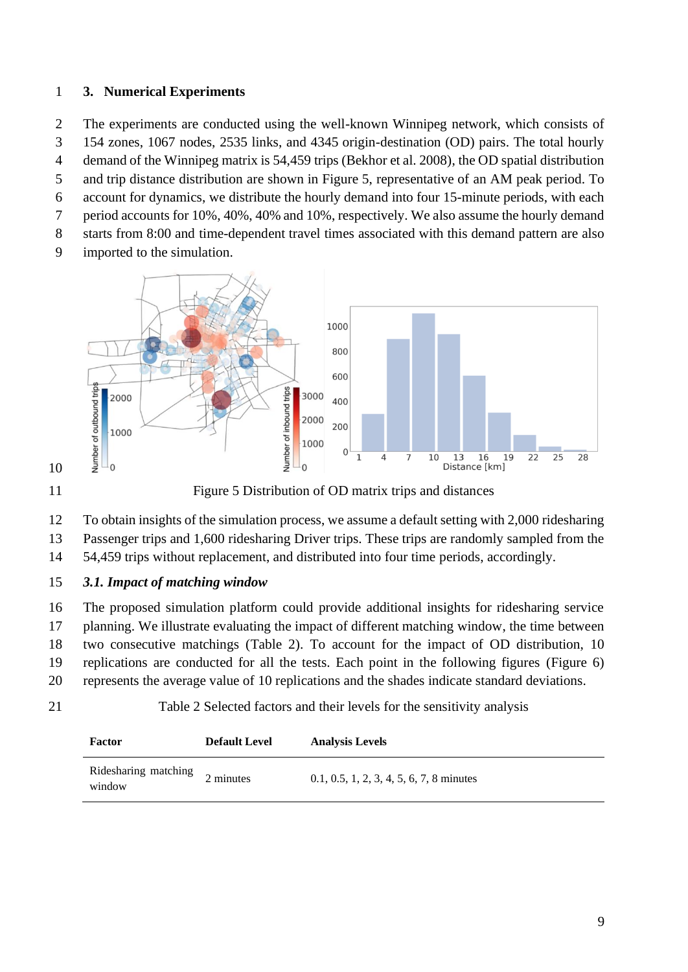## **3. Numerical Experiments**

The experiments are conducted using the well-known Winnipeg network, which consists of

- 154 zones, 1067 nodes, 2535 links, and 4345 origin-destination (OD) pairs. The total hourly demand of the Winnipeg matrix is 54,459 trips (Bekhor et al. 2008), the OD spatial distribution
- and trip distance distribution are shown in [Figure 5,](#page-8-0) representative of an AM peak period. To
- account for dynamics, we distribute the hourly demand into four 15-minute periods, with each
- period accounts for 10%, 40%, 40% and 10%, respectively. We also assume the hourly demand
- starts from 8:00 and time-dependent travel times associated with this demand pattern are also
- imported to the simulation.





<span id="page-8-0"></span>Figure 5 Distribution of OD matrix trips and distances

- To obtain insights of the simulation process, we assume a default setting with 2,000 ridesharing Passenger trips and 1,600 ridesharing Driver trips. These trips are randomly sampled from the
- 54,459 trips without replacement, and distributed into four time periods, accordingly.

# *3.1. Impact of matching window*

 The proposed simulation platform could provide additional insights for ridesharing service planning. We illustrate evaluating the impact of different matching window, the time between two consecutive matchings [\(Table 2\)](#page-8-1). To account for the impact of OD distribution, 10 replications are conducted for all the tests. Each point in the following figures [\(Figure 6\)](#page-9-0) represents the average value of 10 replications and the shades indicate standard deviations.

Table 2 Selected factors and their levels for the sensitivity analysis

<span id="page-8-1"></span>

| Factor                         | <b>Default Level</b> | <b>Analysis Levels</b>                     |
|--------------------------------|----------------------|--------------------------------------------|
| Ridesharing matching<br>window | 2 minutes            | $0.1, 0.5, 1, 2, 3, 4, 5, 6, 7, 8$ minutes |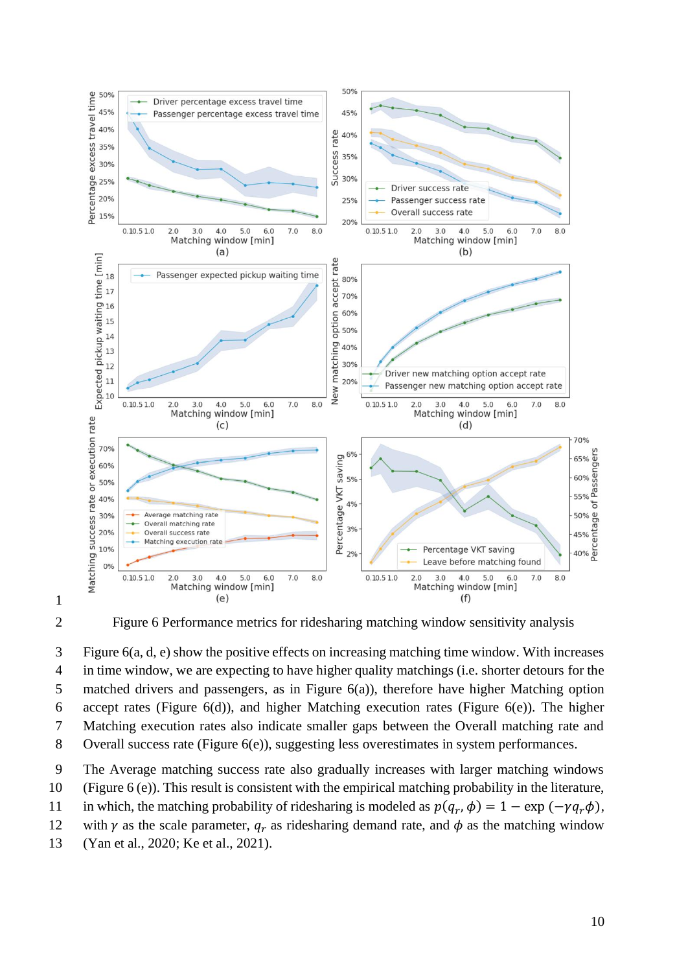



<span id="page-9-0"></span>Figure 6 Performance metrics for ridesharing matching window sensitivity analysis

 [Figure 6\(](#page-9-0)a, d, e) show the positive effects on increasing matching time window. With increases in time window, we are expecting to have higher quality matchings (i.e. shorter detours for the matched drivers and passengers, as in [Figure 6\(](#page-9-0)a)), therefore have higher Matching option accept rates [\(Figure 6\(](#page-9-0)d)), and higher Matching execution rates [\(Figure 6\(](#page-9-0)e)). The higher Matching execution rates also indicate smaller gaps between the Overall matching rate and Overall success rate [\(Figure 6\(](#page-9-0)e)), suggesting less overestimates in system performances.

The Average matching success rate also gradually increases with larger matching windows

[\(Figure 6](#page-9-0) (e)). This result is consistent with the empirical matching probability in the literature,

in which, the matching probability of ridesharing is modeled as  $p(q_r, \phi) = 1 - \exp(-\gamma q_r \phi)$ ,

12 with  $\gamma$  as the scale parameter,  $q_r$  as ridesharing demand rate, and  $\phi$  as the matching window

(Yan et al., 2020; Ke et al., 2021).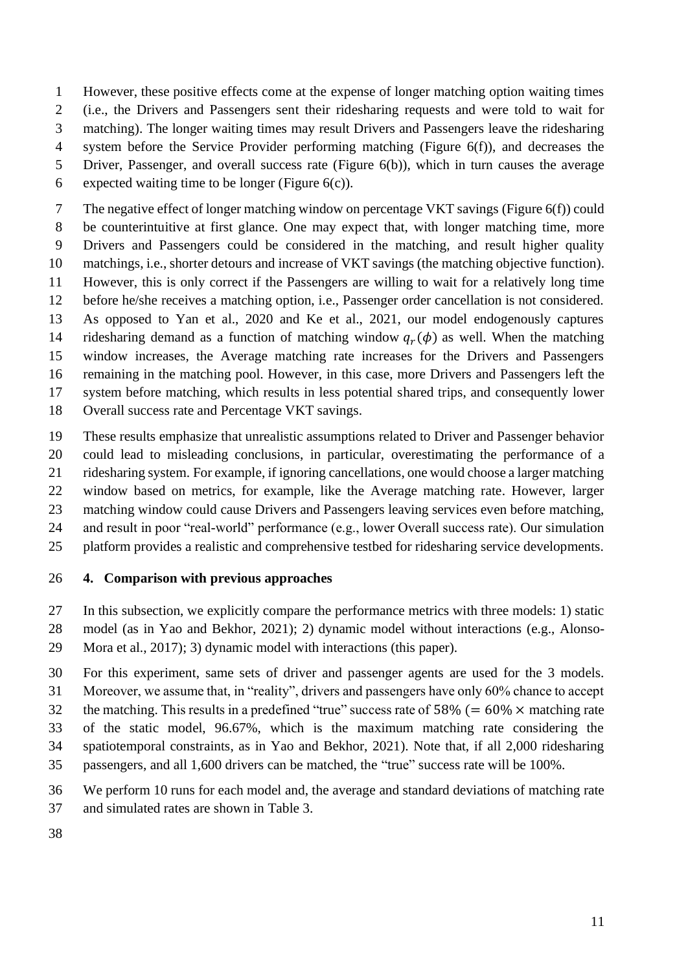However, these positive effects come at the expense of longer matching option waiting times (i.e., the Drivers and Passengers sent their ridesharing requests and were told to wait for matching). The longer waiting times may result Drivers and Passengers leave the ridesharing

- system before the Service Provider performing matching [\(Figure 6\(](#page-9-0)f)), and decreases the
- Driver, Passenger, and overall success rate [\(Figure 6\(](#page-9-0)b)), which in turn causes the average
- 6 expected waiting time to be longer (Figure  $6(c)$ ).

 The negative effect of longer matching window on percentage VKT savings [\(Figure 6\(](#page-9-0)f)) could be counterintuitive at first glance. One may expect that, with longer matching time, more Drivers and Passengers could be considered in the matching, and result higher quality matchings, i.e., shorter detours and increase of VKT savings (the matching objective function). However, this is only correct if the Passengers are willing to wait for a relatively long time before he/she receives a matching option, i.e., Passenger order cancellation is not considered. As opposed to Yan et al., 2020 and Ke et al., 2021, our model endogenously captures 14 ridesharing demand as a function of matching window  $q_r(\phi)$  as well. When the matching window increases, the Average matching rate increases for the Drivers and Passengers remaining in the matching pool. However, in this case, more Drivers and Passengers left the system before matching, which results in less potential shared trips, and consequently lower

- Overall success rate and Percentage VKT savings.
- These results emphasize that unrealistic assumptions related to Driver and Passenger behavior
- could lead to misleading conclusions, in particular, overestimating the performance of a
- ridesharing system. For example, if ignoring cancellations, one would choose a larger matching
- window based on metrics, for example, like the Average matching rate. However, larger
- matching window could cause Drivers and Passengers leaving services even before matching,
- and result in poor "real-world" performance (e.g., lower Overall success rate). Our simulation
- platform provides a realistic and comprehensive testbed for ridesharing service developments.

# **4. Comparison with previous approaches**

 In this subsection, we explicitly compare the performance metrics with three models: 1) static model (as in Yao and Bekhor, 2021); 2) dynamic model without interactions (e.g., Alonso-Mora et al., 2017); 3) dynamic model with interactions (this paper).

 For this experiment, same sets of driver and passenger agents are used for the 3 models. Moreover, we assume that, in "reality", drivers and passengers have only 60% chance to accept 32 the matching. This results in a predefined "true" success rate of 58% ( $= 60\% \times$  matching rate of the static model, 96.67%, which is the maximum matching rate considering the spatiotemporal constraints, as in Yao and Bekhor, 2021). Note that, if all 2,000 ridesharing passengers, and all 1,600 drivers can be matched, the "true" success rate will be 100%.

 We perform 10 runs for each model and, the average and standard deviations of matching rate and simulated rates are shown in [Table 3.](#page-11-0)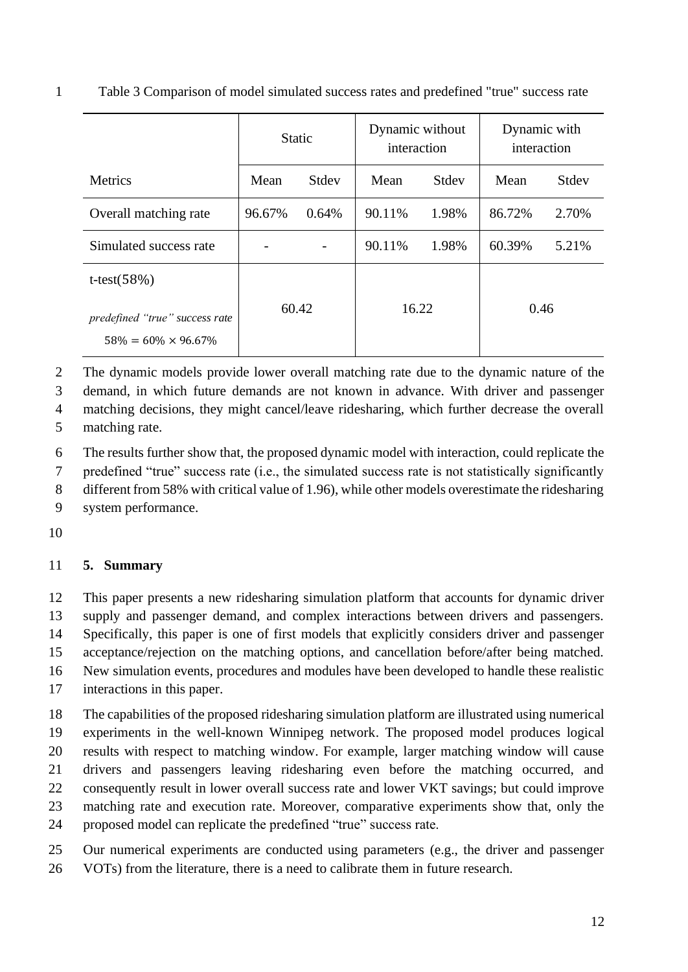<span id="page-11-0"></span>

| Table 3 Comparison of model simulated success rates and predefined "true" success rate |  |  |  |  |
|----------------------------------------------------------------------------------------|--|--|--|--|
|                                                                                        |  |  |  |  |

|                                                                |        | <b>Static</b> | Dynamic without<br>interaction |       | Dynamic with<br>interaction |       |
|----------------------------------------------------------------|--------|---------------|--------------------------------|-------|-----------------------------|-------|
| Metrics                                                        | Mean   | Stdev         | Mean                           | Stdev | Mean                        | Stdev |
| Overall matching rate                                          | 96.67% | 0.64%         | 90.11%                         | 1.98% | 86.72%                      | 2.70% |
| Simulated success rate                                         |        |               | 90.11%                         | 1.98% | 60.39%                      | 5.21% |
| t-test $(58%)$                                                 |        |               |                                |       |                             |       |
| predefined "true" success rate<br>$58\% = 60\% \times 96.67\%$ | 60.42  |               | 16.22                          |       | 0.46                        |       |

The dynamic models provide lower overall matching rate due to the dynamic nature of the

 demand, in which future demands are not known in advance. With driver and passenger matching decisions, they might cancel/leave ridesharing, which further decrease the overall

matching rate.

The results further show that, the proposed dynamic model with interaction, could replicate the

 predefined "true" success rate (i.e., the simulated success rate is not statistically significantly different from 58% with critical value of 1.96), while other models overestimate the ridesharing

- system performance.
- 

# **5. Summary**

 This paper presents a new ridesharing simulation platform that accounts for dynamic driver supply and passenger demand, and complex interactions between drivers and passengers. Specifically, this paper is one of first models that explicitly considers driver and passenger acceptance/rejection on the matching options, and cancellation before/after being matched. New simulation events, procedures and modules have been developed to handle these realistic interactions in this paper.

 The capabilities of the proposed ridesharing simulation platform are illustrated using numerical experiments in the well-known Winnipeg network. The proposed model produces logical results with respect to matching window. For example, larger matching window will cause drivers and passengers leaving ridesharing even before the matching occurred, and consequently result in lower overall success rate and lower VKT savings; but could improve matching rate and execution rate. Moreover, comparative experiments show that, only the proposed model can replicate the predefined "true" success rate.

 Our numerical experiments are conducted using parameters (e.g., the driver and passenger VOTs) from the literature, there is a need to calibrate them in future research.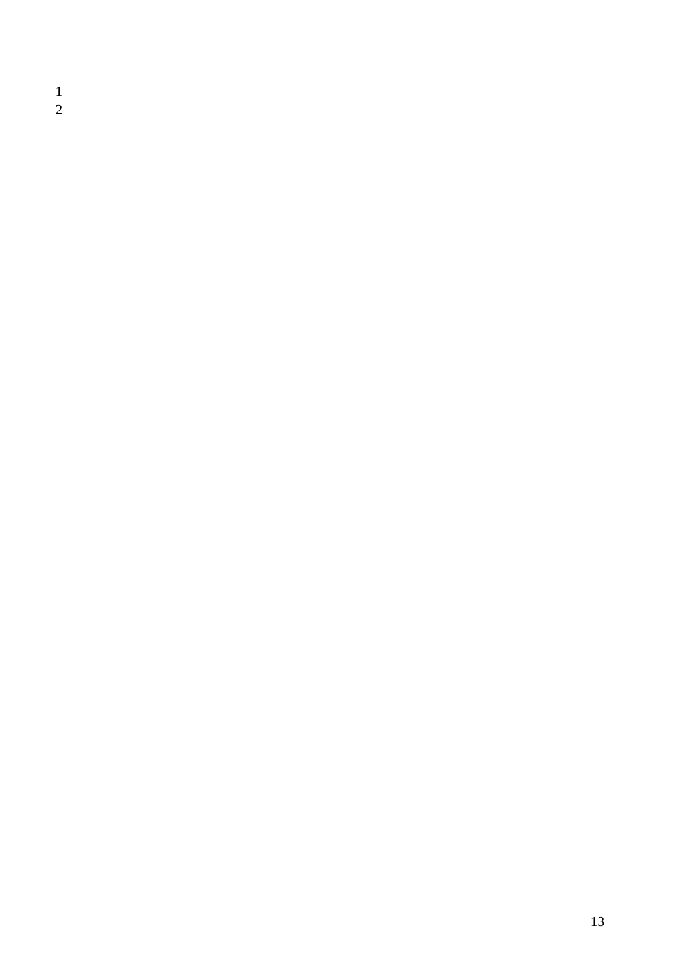$\frac{1}{2}$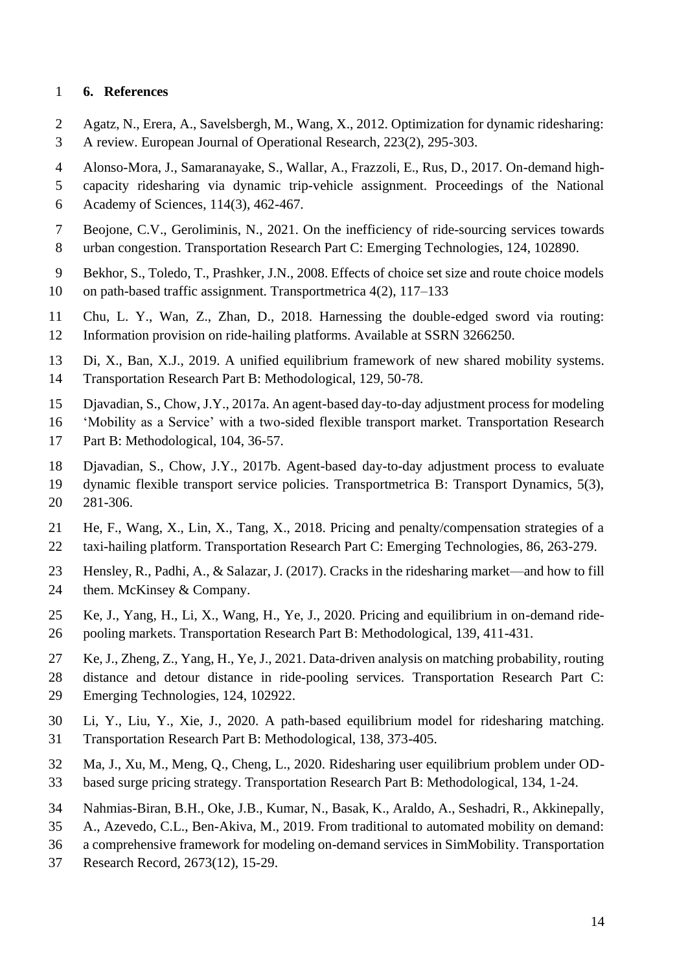#### **6. References**

- Agatz, N., Erera, A., Savelsbergh, M., Wang, X., 2012. Optimization for dynamic ridesharing:
- A review. European Journal of Operational Research, 223(2), 295-303.
- Alonso-Mora, J., Samaranayake, S., Wallar, A., Frazzoli, E., Rus, D., 2017. On-demand high-
- capacity ridesharing via dynamic trip-vehicle assignment. Proceedings of the National
- Academy of Sciences, 114(3), 462-467.
- Beojone, C.V., Geroliminis, N., 2021. On the inefficiency of ride-sourcing services towards urban congestion. Transportation Research Part C: Emerging Technologies, 124, 102890.
- Bekhor, S., Toledo, T., Prashker, J.N., 2008. Effects of choice set size and route choice models
- on path-based traffic assignment. Transportmetrica 4(2), 117–133
- Chu, L. Y., Wan, Z., Zhan, D., 2018. Harnessing the double-edged sword via routing:
- Information provision on ride-hailing platforms. Available at SSRN 3266250.
- Di, X., Ban, X.J., 2019. A unified equilibrium framework of new shared mobility systems.
- Transportation Research Part B: Methodological, 129, 50-78.
- Djavadian, S., Chow, J.Y., 2017a. An agent-based day-to-day adjustment process for modeling
- 'Mobility as a Service' with a two-sided flexible transport market. Transportation Research Part B: Methodological, 104, 36-57.
- Djavadian, S., Chow, J.Y., 2017b. Agent-based day-to-day adjustment process to evaluate
- dynamic flexible transport service policies. Transportmetrica B: Transport Dynamics, 5(3), 281-306.
- He, F., Wang, X., Lin, X., Tang, X., 2018. Pricing and penalty/compensation strategies of a taxi-hailing platform. Transportation Research Part C: Emerging Technologies, 86, 263-279.
- Hensley, R., Padhi, A., & Salazar, J. (2017). Cracks in the ridesharing market—and how to fill them. McKinsey & Company.
- Ke, J., Yang, H., Li, X., Wang, H., Ye, J., 2020. Pricing and equilibrium in on-demand ride-pooling markets. Transportation Research Part B: Methodological, 139, 411-431.
- Ke, J., Zheng, Z., Yang, H., Ye, J., 2021. Data-driven analysis on matching probability, routing distance and detour distance in ride-pooling services. Transportation Research Part C: Emerging Technologies, 124, 102922.
- Li, Y., Liu, Y., Xie, J., 2020. A path-based equilibrium model for ridesharing matching. Transportation Research Part B: Methodological, 138, 373-405.
- Ma, J., Xu, M., Meng, Q., Cheng, L., 2020. Ridesharing user equilibrium problem under OD-based surge pricing strategy. Transportation Research Part B: Methodological, 134, 1-24.
- Nahmias-Biran, B.H., Oke, J.B., Kumar, N., Basak, K., Araldo, A., Seshadri, R., Akkinepally,
- A., Azevedo, C.L., Ben-Akiva, M., 2019. From traditional to automated mobility on demand:
- a comprehensive framework for modeling on-demand services in SimMobility. Transportation
- Research Record, 2673(12), 15-29.